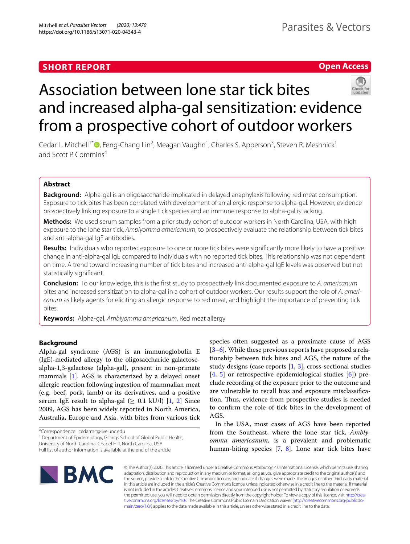# **SHORT REPORT**

# **Open Access**



# Association between lone star tick bites and increased alpha-gal sensitization: evidence from a prospective cohort of outdoor workers

Cedar L. Mitchell<sup>1[\\*](http://orcid.org/0000-0002-4811-2074)</sup><sup>®</sup>, Feng-Chang Lin<sup>2</sup>, Meagan Vaughn<sup>1</sup>, Charles S. Apperson<sup>3</sup>, Steven R. Meshnick<sup>1</sup> and Scott P. Commins<sup>4</sup>

## **Abstract**

**Background:** Alpha-gal is an oligosaccharide implicated in delayed anaphylaxis following red meat consumption. Exposure to tick bites has been correlated with development of an allergic response to alpha-gal. However, evidence prospectively linking exposure to a single tick species and an immune response to alpha-gal is lacking.

**Methods:** We used serum samples from a prior study cohort of outdoor workers in North Carolina, USA, with high exposure to the lone star tick, *Amblyomma americanum*, to prospectively evaluate the relationship between tick bites and anti-alpha-gal IgE antibodies.

**Results:** Individuals who reported exposure to one or more tick bites were signifcantly more likely to have a positive change in anti-alpha-gal IgE compared to individuals with no reported tick bites. This relationship was not dependent on time. A trend toward increasing number of tick bites and increased anti-alpha-gal IgE levels was observed but not statistically signifcant.

**Conclusion:** To our knowledge, this is the frst study to prospectively link documented exposure to *A. americanum* bites and increased sensitization to alpha-gal in a cohort of outdoor workers. Our results support the role of *A. americanum* as likely agents for eliciting an allergic response to red meat, and highlight the importance of preventing tick bites.

**Keywords:** Alpha-gal, *Amblyomma americanum*, Red meat allergy

## **Background**

Alpha-gal syndrome (AGS) is an immunoglobulin E (IgE)-mediated allergy to the oligosaccharide galactosealpha-1,3-galactose (alpha-gal), present in non-primate mammals [[1\]](#page-3-0). AGS is characterized by a delayed onset allergic reaction following ingestion of mammalian meat (e.g. beef, pork, lamb) or its derivatives, and a positive serum IgE result to alpha-gal  $(≥ 0.1$  kU/l) [\[1](#page-3-0), [2](#page-3-1)] Since 2009, AGS has been widely reported in North America, Australia, Europe and Asia, with bites from various tick

\*Correspondence: cedarmit@live.unc.edu

<sup>1</sup> Department of Epidemiology, Gillings School of Global Public Health, University of North Carolina, Chapel Hill, North Carolina, USA

species often suggested as a proximate cause of AGS [[3–](#page-3-2)[6\]](#page-3-3). While these previous reports have proposed a relationship between tick bites and AGS, the nature of the study designs (case reports  $[1, 3]$  $[1, 3]$  $[1, 3]$  $[1, 3]$ , cross-sectional studies [[4,](#page-3-4) [5](#page-3-5)] or retrospective epidemiological studies [\[6](#page-3-3)]) preclude recording of the exposure prior to the outcome and are vulnerable to recall bias and exposure misclassifcation. Thus, evidence from prospective studies is needed to confrm the role of tick bites in the development of AGS.

In the USA, most cases of AGS have been reported from the Southeast, where the lone star tick, *Amblyomma americanum*, is a prevalent and problematic human-biting species [[7,](#page-3-6) [8\]](#page-3-7). Lone star tick bites have



© The Author(s) 2020. This article is licensed under a Creative Commons Attribution 4.0 International License, which permits use, sharing, adaptation, distribution and reproduction in any medium or format, as long as you give appropriate credit to the original author(s) and the source, provide a link to the Creative Commons licence, and indicate if changes were made. The images or other third party material in this article are included in the article's Creative Commons licence, unless indicated otherwise in a credit line to the material. If material is not included in the article's Creative Commons licence and your intended use is not permitted by statutory regulation or exceeds the permitted use, you will need to obtain permission directly from the copyright holder. To view a copy of this licence, visit http://crea[tivecommons.org/licenses/by/4.0/.](http://creativecommons.org/licenses/by/4.0/) The Creative Commons Public Domain Dedication waiver (http://creativecommons.org/publicdo[main/zero/1.0/\)](http://creativecommons.org/publicdomain/zero/1.0/) applies to the data made available in this article, unless otherwise stated in a credit line to the data.

Full list of author information is available at the end of the article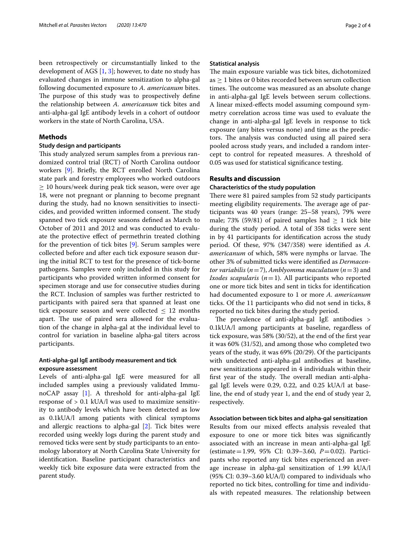been retrospectively or circumstantially linked to the development of AGS  $[1, 3]$  $[1, 3]$  $[1, 3]$  $[1, 3]$  $[1, 3]$ ; however, to date no study has evaluated changes in immune sensitization to alpha-gal following documented exposure to *A. americanum* bites. The purpose of this study was to prospectively define the relationship between *A. americanum* tick bites and anti-alpha-gal IgE antibody levels in a cohort of outdoor workers in the state of North Carolina, USA.

## **Methods**

## **Study design and participants**

This study analyzed serum samples from a previous randomized control trial (RCT) of North Carolina outdoor workers [\[9](#page-3-8)]. Briefy, the RCT enrolled North Carolina state park and forestry employees who worked outdoors  $\geq$  10 hours/week during peak tick season, were over age 18, were not pregnant or planning to become pregnant during the study, had no known sensitivities to insecticides, and provided written informed consent. The study spanned two tick exposure seasons defned as March to October of 2011 and 2012 and was conducted to evaluate the protective efect of permethrin treated clothing for the prevention of tick bites [\[9](#page-3-8)]. Serum samples were collected before and after each tick exposure season during the initial RCT to test for the presence of tick-borne pathogens. Samples were only included in this study for participants who provided written informed consent for specimen storage and use for consecutive studies during the RCT. Inclusion of samples was further restricted to participants with paired sera that spanned at least one tick exposure season and were collected  $\leq$  12 months apart. The use of paired sera allowed for the evaluation of the change in alpha-gal at the individual level to control for variation in baseline alpha-gal titers across participants.

## **Anti‑alpha‑gal IgE antibody measurement and tick exposure assessment**

Levels of anti-alpha-gal IgE were measured for all included samples using a previously validated ImmunoCAP assay [[1\]](#page-3-0). A threshold for anti-alpha-gal IgE response of  $> 0.1$  kUA/l was used to maximize sensitivity to antibody levels which have been detected as low as 0.1kUA/l among patients with clinical symptoms and allergic reactions to alpha-gal [\[2](#page-3-1)]. Tick bites were recorded using weekly logs during the parent study and removed ticks were sent by study participants to an entomology laboratory at North Carolina State University for identifcation. Baseline participant characteristics and weekly tick bite exposure data were extracted from the parent study.

#### **Statistical analysis**

The main exposure variable was tick bites, dichotomized as ≥ 1 bites or 0 bites recorded between serum collection times. The outcome was measured as an absolute change in anti-alpha-gal IgE levels between serum collections. A linear mixed-efects model assuming compound symmetry correlation across time was used to evaluate the change in anti-alpha-gal IgE levels in response to tick exposure (any bites versus none) and time as the predictors. The analysis was conducted using all paired sera pooled across study years, and included a random intercept to control for repeated measures. A threshold of 0.05 was used for statistical signifcance testing.

## **Results and discussion**

#### **Characteristics of the study population**

There were 81 paired samples from 52 study participants meeting eligibility requirements. The average age of participants was 40 years (range: 25–58 years), 79% were male; 73% (59/81) of paired samples had  $\geq$  1 tick bite during the study period. A total of 358 ticks were sent in by 41 participants for identifcation across the study period. Of these, 97% (347/358) were identifed as *A. americanum* of which, 58% were nymphs or larvae. The other 3% of submitted ticks were identifed as *Dermacentor variabilis* (*n*=7), *Amblyomma maculatum* (*n*=3) and *Ixodes scapularis* (*n*=1). All participants who reported one or more tick bites and sent in ticks for identifcation had documented exposure to 1 or more *A. americanum* ticks. Of the 11 participants who did not send in ticks, 8 reported no tick bites during the study period.

The prevalence of anti-alpha-gal IgE antibodies  $>$ 0.1kUA/l among participants at baseline, regardless of tick exposure, was 58% (30/52), at the end of the frst year it was 60% (31/52), and among those who completed two years of the study, it was 69% (20/29). Of the participants with undetected anti-alpha-gal antibodies at baseline, new sensitizations appeared in 4 individuals within their first year of the study. The overall median anti-alphagal IgE levels were 0.29, 0.22, and 0.25 kUA/l at baseline, the end of study year 1, and the end of study year 2, respectively.

## **Association between tick bites and alpha‑gal sensitization**

Results from our mixed efects analysis revealed that exposure to one or more tick bites was signifcantly associated with an increase in mean anti-alpha-gal IgE (estimate=1.99, 95% CI: 0.39–3.60, *P*=0.02). Participants who reported any tick bites experienced an average increase in alpha-gal sensitization of 1.99 kUA/l (95% CI: 0.39–3.60 kUA/l) compared to individuals who reported no tick bites, controlling for time and individuals with repeated measures. The relationship between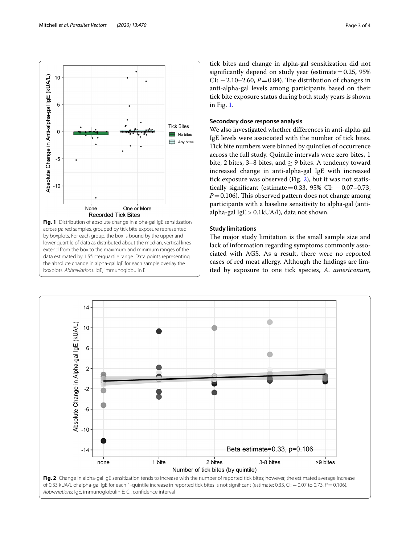

<span id="page-2-0"></span>**Fig. 1** Distribution of absolute change in alpha-gal IgE sensitization across paired samples, grouped by tick bite exposure represented by boxplots. For each group, the box is bound by the upper and lower quartile of data as distributed about the median, vertical lines extend from the box to the maximum and minimum ranges of the data estimated by 1.5\*interquartile range. Data points representing the absolute change in alpha-gal IgE for each sample overlay the boxplots. *Abbreviations:* IgE, immunoglobulin E

tick bites and change in alpha-gal sensitization did not significantly depend on study year (estimate  $=0.25$ , 95%) CI:  $-2.10-2.60$ ,  $P=0.84$ ). The distribution of changes in anti-alpha-gal levels among participants based on their tick bite exposure status during both study years is shown in Fig. [1](#page-2-0).

## **Secondary dose response analysis**

We also investigated whether diferences in anti-alpha-gal IgE levels were associated with the number of tick bites. Tick bite numbers were binned by quintiles of occurrence across the full study. Quintile intervals were zero bites, 1 bite, 2 bites, 3–8 bites, and ≥ 9 bites. A tendency toward increased change in anti-alpha-gal IgE with increased tick exposure was observed (Fig. [2\)](#page-2-1), but it was not statistically significant (estimate=0.33, 95% CI:  $-0.07-0.73$ ,  $P=0.106$ ). This observed pattern does not change among participants with a baseline sensitivity to alpha-gal (antialpha-gal IgE > 0.1kUA/l), data not shown.

## **Study limitations**

The major study limitation is the small sample size and lack of information regarding symptoms commonly associated with AGS. As a result, there were no reported cases of red meat allergy. Although the fndings are limited by exposure to one tick species, *A. americanum*,

<span id="page-2-1"></span>